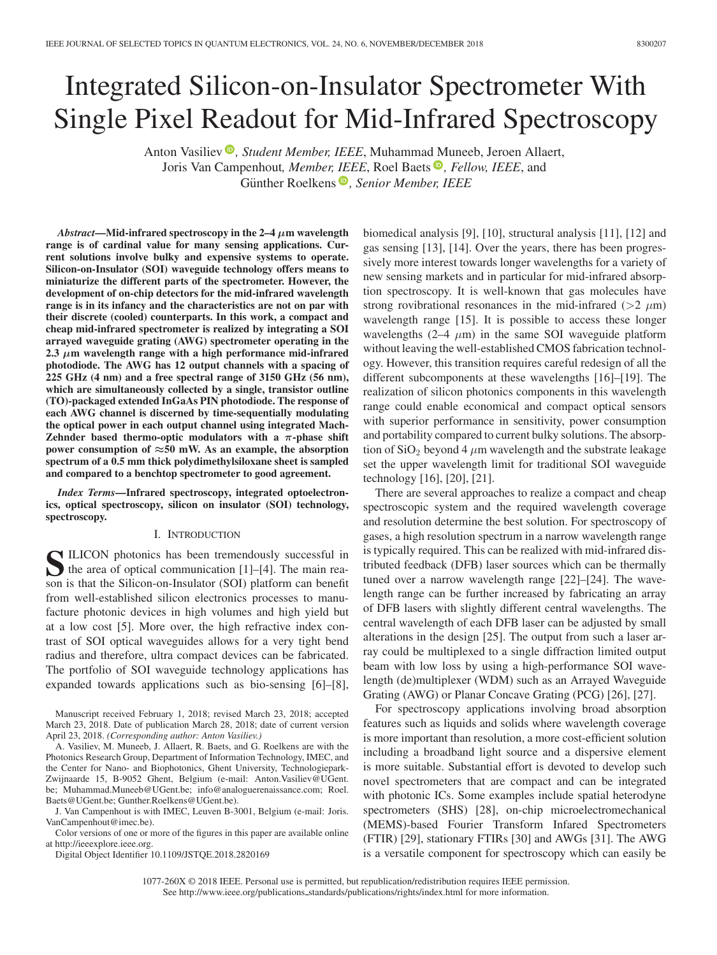# Integrated Silicon-on-Insulator Spectrometer With Single Pixel Readout for Mid-Infrared Spectroscopy

Anton Vasiliev<sup>®</sup>[,](https://orcid.org/0000-0002-7712-2183) *Student Member, IEEE*, Muhammad Muneeb, Jeroen Allaert, Joris Van Campenhout*, Member, IEEE*, Roel Baets *[,](https://orcid.org/0000-0003-1266-1319) Fellow, IEEE*, and Günther Roelkens<sup>®</sup>[,](https://orcid.org/0000-0002-4667-5092) Senior Member, IEEE

*Abstract***—Mid-infrared spectroscopy in the 2–4** *μ***m wavelength range is of cardinal value for many sensing applications. Current solutions involve bulky and expensive systems to operate. Silicon-on-Insulator (SOI) waveguide technology offers means to miniaturize the different parts of the spectrometer. However, the development of on-chip detectors for the mid-infrared wavelength range is in its infancy and the characteristics are not on par with their discrete (cooled) counterparts. In this work, a compact and cheap mid-infrared spectrometer is realized by integrating a SOI arrayed waveguide grating (AWG) spectrometer operating in the 2.3** *μ***m wavelength range with a high performance mid-infrared photodiode. The AWG has 12 output channels with a spacing of 225 GHz (4 nm) and a free spectral range of 3150 GHz (56 nm), which are simultaneously collected by a single, transistor outline (TO)-packaged extended InGaAs PIN photodiode. The response of each AWG channel is discerned by time-sequentially modulating the optical power in each output channel using integrated Mach-Zehnder based thermo-optic modulators with a** *π***-phase shift power consumption of** *≈***50 mW. As an example, the absorption spectrum of a 0.5 mm thick polydimethylsiloxane sheet is sampled and compared to a benchtop spectrometer to good agreement.**

*Index Terms***—Infrared spectroscopy, integrated optoelectronics, optical spectroscopy, silicon on insulator (SOI) technology, spectroscopy.**

#### I. INTRODUCTION

**S**ILICON photonics has been tremendously successful in the area of optical communication [1]–[4]. The main reason is that the Silicon-on-Insulator (SOI) platform can benefit from well-established silicon electronics processes to manufacture photonic devices in high volumes and high yield but at a low cost [5]. More over, the high refractive index contrast of SOI optical waveguides allows for a very tight bend radius and therefore, ultra compact devices can be fabricated. The portfolio of SOI waveguide technology applications has expanded towards applications such as bio-sensing [6]–[8],

Manuscript received February 1, 2018; revised March 23, 2018; accepted March 23, 2018. Date of publication March 28, 2018; date of current version April 23, 2018. *(Corresponding author: Anton Vasiliev.)*

A. Vasiliev, M. Muneeb, J. Allaert, R. Baets, and G. Roelkens are with the Photonics Research Group, Department of Information Technology, IMEC, and the Center for Nano- and Biophotonics, Ghent University, Technologiepark-Zwijnaarde 15, B-9052 Ghent, Belgium (e-mail: [Anton.Vasiliev@UGent.](mailto:Anton.Vasiliev@UGent.global advance reakcnt @ne penalty -@M be) [be;](mailto:Anton.Vasiliev@UGent.global advance reakcnt @ne penalty -@M be) [Muhammad.Muneeb@UGent.be;](mailto:Muhammad.Muneeb@UGent.be) [info@analoguerenaissance.com;](mailto:info@analoguerenaissance.com) [Roel.](mailto:Roel.global advance reakcnt @ne penalty -@M Baets@UGent.be) [Baets@UGent.be;](mailto:Roel.global advance reakcnt @ne penalty -@M Baets@UGent.be) [Gunther.Roelkens@UGent.be\)](mailto:Gunther.Roelkens@UGent.be).

J. Van Campenhout is with IMEC, Leuven B-3001, Belgium (e-mail: [Joris.](mailto:Joris.global advance reakcnt @ne penalty -@M VanCampenhout@imec.be) [VanCampenhout@imec.be\)](mailto:Joris.global advance reakcnt @ne penalty -@M VanCampenhout@imec.be).

Color versions of one or more of the figures in this paper are available online at http://ieeexplore.ieee.org.

Digital Object Identifier 10.1109/JSTQE.2018.2820169

biomedical analysis [9], [10], structural analysis [11], [12] and gas sensing [13], [14]. Over the years, there has been progressively more interest towards longer wavelengths for a variety of new sensing markets and in particular for mid-infrared absorption spectroscopy. It is well-known that gas molecules have strong rovibrational resonances in the mid-infrared ( $>2 \mu$ m) wavelength range [15]. It is possible to access these longer wavelengths  $(2-4 \mu m)$  in the same SOI waveguide platform without leaving the well-established CMOS fabrication technology. However, this transition requires careful redesign of all the different subcomponents at these wavelengths [16]–[19]. The realization of silicon photonics components in this wavelength range could enable economical and compact optical sensors with superior performance in sensitivity, power consumption and portability compared to current bulky solutions. The absorption of  $SiO<sub>2</sub>$  beyond 4  $\mu$ m wavelength and the substrate leakage set the upper wavelength limit for traditional SOI waveguide technology [16], [20], [21].

There are several approaches to realize a compact and cheap spectroscopic system and the required wavelength coverage and resolution determine the best solution. For spectroscopy of gases, a high resolution spectrum in a narrow wavelength range is typically required. This can be realized with mid-infrared distributed feedback (DFB) laser sources which can be thermally tuned over a narrow wavelength range [22]–[24]. The wavelength range can be further increased by fabricating an array of DFB lasers with slightly different central wavelengths. The central wavelength of each DFB laser can be adjusted by small alterations in the design [25]. The output from such a laser array could be multiplexed to a single diffraction limited output beam with low loss by using a high-performance SOI wavelength (de)multiplexer (WDM) such as an Arrayed Waveguide Grating (AWG) or Planar Concave Grating (PCG) [26], [27].

For spectroscopy applications involving broad absorption features such as liquids and solids where wavelength coverage is more important than resolution, a more cost-efficient solution including a broadband light source and a dispersive element is more suitable. Substantial effort is devoted to develop such novel spectrometers that are compact and can be integrated with photonic ICs. Some examples include spatial heterodyne spectrometers (SHS) [28], on-chip microelectromechanical (MEMS)-based Fourier Transform Infared Spectrometers (FTIR) [29], stationary FTIRs [30] and AWGs [31]. The AWG is a versatile component for spectroscopy which can easily be

1077-260X © 2018 IEEE. Personal use is permitted, but republication/redistribution requires IEEE permission. See http://www.ieee.org/publications.standards/publications/rights/index.html for more information.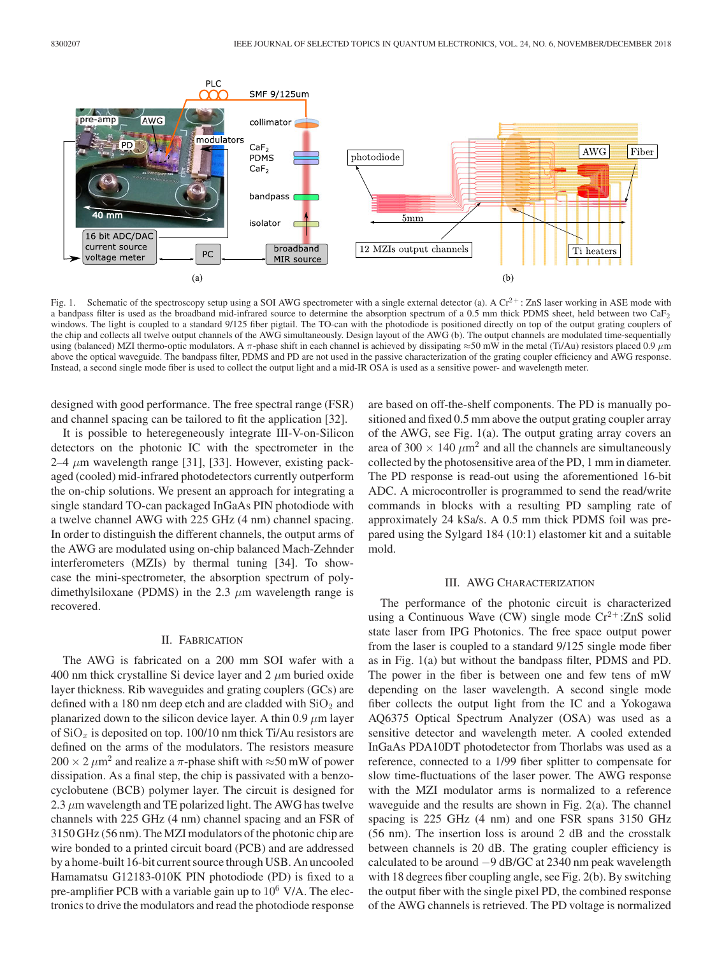

Fig. 1. Schematic of the spectroscopy setup using a SOI AWG spectrometer with a single external detector (a). A  $Cr^{2+}$ : ZnS laser working in ASE mode with a bandpass filter is used as the broadband mid-infrared source to determine the absorption spectrum of a 0.5 mm thick PDMS sheet, held between two  $\text{CaF}_2$ windows. The light is coupled to a standard 9/125 fiber pigtail. The TO-can with the photodiode is positioned directly on top of the output grating couplers of the chip and collects all twelve output channels of the AWG simultaneously. Design layout of the AWG (b). The output channels are modulated time-sequentially using (balanced) MZI thermo-optic modulators. A  $\pi$ -phase shift in each channel is achieved by dissipating  $\approx$ 50 mW in the metal (Ti/Au) resistors placed 0.9  $\mu$ m above the optical waveguide. The bandpass filter, PDMS and PD are not used in the passive characterization of the grating coupler efficiency and AWG response. Instead, a second single mode fiber is used to collect the output light and a mid-IR OSA is used as a sensitive power- and wavelength meter.

designed with good performance. The free spectral range (FSR) and channel spacing can be tailored to fit the application [32].

It is possible to heteregeneously integrate III-V-on-Silicon detectors on the photonic IC with the spectrometer in the 2–4  $\mu$ m wavelength range [31], [33]. However, existing packaged (cooled) mid-infrared photodetectors currently outperform the on-chip solutions. We present an approach for integrating a single standard TO-can packaged InGaAs PIN photodiode with a twelve channel AWG with 225 GHz (4 nm) channel spacing. In order to distinguish the different channels, the output arms of the AWG are modulated using on-chip balanced Mach-Zehnder interferometers (MZIs) by thermal tuning [34]. To showcase the mini-spectrometer, the absorption spectrum of polydimethylsiloxane (PDMS) in the 2.3  $\mu$ m wavelength range is recovered.

# II. FABRICATION

The AWG is fabricated on a 200 mm SOI wafer with a 400 nm thick crystalline Si device layer and 2  $\mu$ m buried oxide layer thickness. Rib waveguides and grating couplers (GCs) are defined with a 180 nm deep etch and are cladded with  $SiO<sub>2</sub>$  and planarized down to the silicon device layer. A thin 0.9  $\mu$ m layer of  $SiO_x$  is deposited on top. 100/10 nm thick Ti/Au resistors are defined on the arms of the modulators. The resistors measure  $200 \times 2 \mu m^2$  and realize a  $\pi$ -phase shift with ≈50 mW of power dissipation. As a final step, the chip is passivated with a benzocyclobutene (BCB) polymer layer. The circuit is designed for 2.3  $\mu$ m wavelength and TE polarized light. The AWG has twelve channels with 225 GHz (4 nm) channel spacing and an FSR of 3150 GHz (56 nm). The MZI modulators of the photonic chip are wire bonded to a printed circuit board (PCB) and are addressed by a home-built 16-bit current source through USB. An uncooled Hamamatsu G12183-010K PIN photodiode (PD) is fixed to a pre-amplifier PCB with a variable gain up to  $10^6$  V/A. The electronics to drive the modulators and read the photodiode response

are based on off-the-shelf components. The PD is manually positioned and fixed 0.5 mm above the output grating coupler array of the AWG, see Fig. 1(a). The output grating array covers an area of  $300 \times 140 \ \mu m^2$  and all the channels are simultaneously collected by the photosensitive area of the PD, 1 mm in diameter. The PD response is read-out using the aforementioned 16-bit ADC. A microcontroller is programmed to send the read/write commands in blocks with a resulting PD sampling rate of approximately 24 kSa/s. A 0.5 mm thick PDMS foil was prepared using the Sylgard 184 (10:1) elastomer kit and a suitable mold.

# III. AWG CHARACTERIZATION

The performance of the photonic circuit is characterized using a Continuous Wave (CW) single mode  $Cr^{2+}$ :ZnS solid state laser from IPG Photonics. The free space output power from the laser is coupled to a standard 9/125 single mode fiber as in Fig. 1(a) but without the bandpass filter, PDMS and PD. The power in the fiber is between one and few tens of mW depending on the laser wavelength. A second single mode fiber collects the output light from the IC and a Yokogawa AQ6375 Optical Spectrum Analyzer (OSA) was used as a sensitive detector and wavelength meter. A cooled extended InGaAs PDA10DT photodetector from Thorlabs was used as a reference, connected to a 1/99 fiber splitter to compensate for slow time-fluctuations of the laser power. The AWG response with the MZI modulator arms is normalized to a reference waveguide and the results are shown in Fig. 2(a). The channel spacing is 225 GHz (4 nm) and one FSR spans 3150 GHz (56 nm). The insertion loss is around 2 dB and the crosstalk between channels is 20 dB. The grating coupler efficiency is calculated to be around −9 dB/GC at 2340 nm peak wavelength with 18 degrees fiber coupling angle, see Fig. 2(b). By switching the output fiber with the single pixel PD, the combined response of the AWG channels is retrieved. The PD voltage is normalized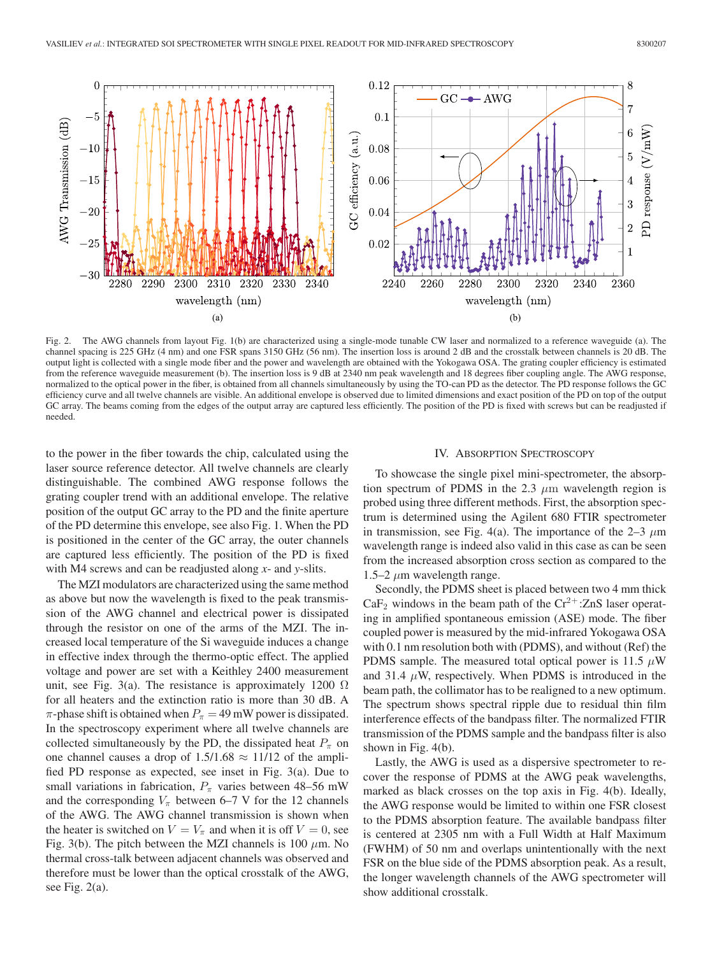

Fig. 2. The AWG channels from layout Fig. 1(b) are characterized using a single-mode tunable CW laser and normalized to a reference waveguide (a). The channel spacing is 225 GHz (4 nm) and one FSR spans 3150 GHz (56 nm). The insertion loss is around 2 dB and the crosstalk between channels is 20 dB. The output light is collected with a single mode fiber and the power and wavelength are obtained with the Yokogawa OSA. The grating coupler efficiency is estimated from the reference waveguide measurement (b). The insertion loss is 9 dB at 2340 nm peak wavelength and 18 degrees fiber coupling angle. The AWG response, normalized to the optical power in the fiber, is obtained from all channels simultaneously by using the TO-can PD as the detector. The PD response follows the GC efficiency curve and all twelve channels are visible. An additional envelope is observed due to limited dimensions and exact position of the PD on top of the output GC array. The beams coming from the edges of the output array are captured less efficiently. The position of the PD is fixed with screws but can be readjusted if needed.

to the power in the fiber towards the chip, calculated using the laser source reference detector. All twelve channels are clearly distinguishable. The combined AWG response follows the grating coupler trend with an additional envelope. The relative position of the output GC array to the PD and the finite aperture of the PD determine this envelope, see also Fig. 1. When the PD is positioned in the center of the GC array, the outer channels are captured less efficiently. The position of the PD is fixed with M4 screws and can be readjusted along *x*- and *y*-slits.

The MZI modulators are characterized using the same method as above but now the wavelength is fixed to the peak transmission of the AWG channel and electrical power is dissipated through the resistor on one of the arms of the MZI. The increased local temperature of the Si waveguide induces a change in effective index through the thermo-optic effect. The applied voltage and power are set with a Keithley 2400 measurement unit, see Fig. 3(a). The resistance is approximately 1200  $\Omega$ for all heaters and the extinction ratio is more than 30 dB. A  $\pi$ -phase shift is obtained when  $P_{\pi} = 49$  mW power is dissipated. In the spectroscopy experiment where all twelve channels are collected simultaneously by the PD, the dissipated heat  $P_{\pi}$  on one channel causes a drop of  $1.5/1.68 \approx 11/12$  of the amplified PD response as expected, see inset in Fig. 3(a). Due to small variations in fabrication,  $P_{\pi}$  varies between 48–56 mW and the corresponding  $V_{\pi}$  between 6–7 V for the 12 channels of the AWG. The AWG channel transmission is shown when the heater is switched on  $V = V_{\pi}$  and when it is off  $V = 0$ , see Fig. 3(b). The pitch between the MZI channels is 100  $\mu$ m. No thermal cross-talk between adjacent channels was observed and therefore must be lower than the optical crosstalk of the AWG, see Fig. 2(a).

## IV. ABSORPTION SPECTROSCOPY

To showcase the single pixel mini-spectrometer, the absorption spectrum of PDMS in the 2.3  $\mu$ m wavelength region is probed using three different methods. First, the absorption spectrum is determined using the Agilent 680 FTIR spectrometer in transmission, see Fig. 4(a). The importance of the 2–3  $\mu$ m wavelength range is indeed also valid in this case as can be seen from the increased absorption cross section as compared to the 1.5–2  $\mu$ m wavelength range.

Secondly, the PDMS sheet is placed between two 4 mm thick  $CaF<sub>2</sub>$  windows in the beam path of the  $Cr<sup>2+</sup>:ZnS$  laser operating in amplified spontaneous emission (ASE) mode. The fiber coupled power is measured by the mid-infrared Yokogawa OSA with 0.1 nm resolution both with (PDMS), and without (Ref) the PDMS sample. The measured total optical power is 11.5  $\mu$ W and 31.4  $\mu$ W, respectively. When PDMS is introduced in the beam path, the collimator has to be realigned to a new optimum. The spectrum shows spectral ripple due to residual thin film interference effects of the bandpass filter. The normalized FTIR transmission of the PDMS sample and the bandpass filter is also shown in Fig. 4(b).

Lastly, the AWG is used as a dispersive spectrometer to recover the response of PDMS at the AWG peak wavelengths, marked as black crosses on the top axis in Fig. 4(b). Ideally, the AWG response would be limited to within one FSR closest to the PDMS absorption feature. The available bandpass filter is centered at 2305 nm with a Full Width at Half Maximum (FWHM) of 50 nm and overlaps unintentionally with the next FSR on the blue side of the PDMS absorption peak. As a result, the longer wavelength channels of the AWG spectrometer will show additional crosstalk.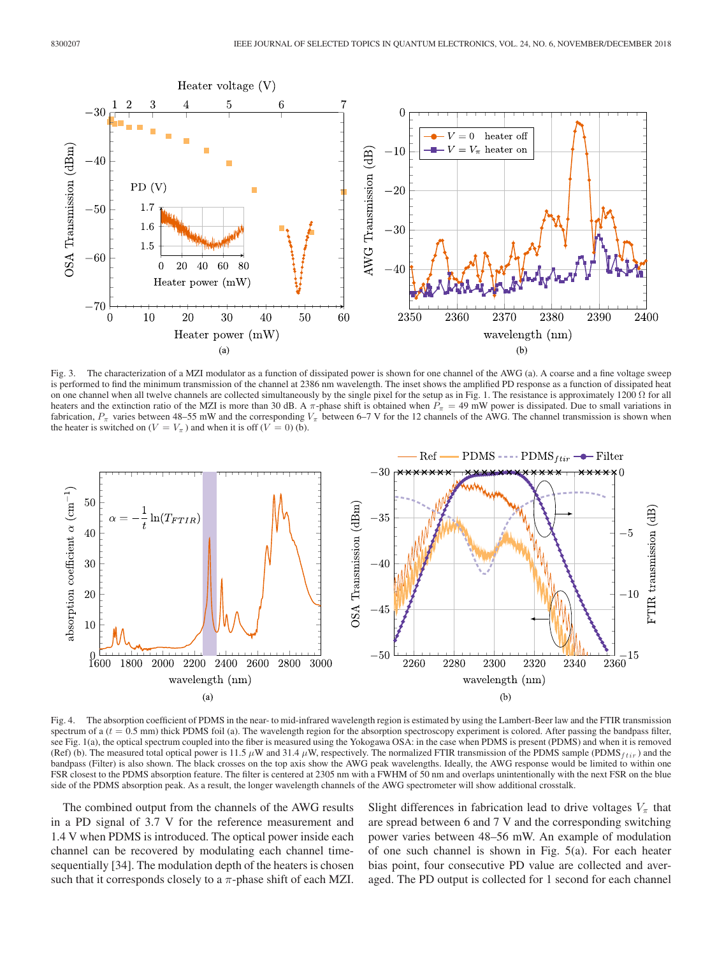

Fig. 3. The characterization of a MZI modulator as a function of dissipated power is shown for one channel of the AWG (a). A coarse and a fine voltage sweep is performed to find the minimum transmission of the channel at 2386 nm wavelength. The inset shows the amplified PD response as a function of dissipated heat on one channel when all twelve channels are collected simultaneously by the single pixel for the setup as in Fig. 1. The resistance is approximately 1200  $\Omega$  for all heaters and the extinction ratio of the MZI is more than 30 dB. A  $\pi$ -phase shift is obtained when  $P_{\pi} = 49$  mW power is dissipated. Due to small variations in fabrication,  $P_{\pi}$  varies between 48–55 mW and the corresponding  $V_{\pi}$  between 6–7 V for the 12 channels of the AWG. The channel transmission is shown when the heater is switched on  $(V = V_\pi)$  and when it is off  $(V = 0)$  (b).



Fig. 4. The absorption coefficient of PDMS in the near- to mid-infrared wavelength region is estimated by using the Lambert-Beer law and the FTIR transmission spectrum of a  $(t = 0.5 \text{ mm})$  thick PDMS foil (a). The wavelength region for the absorption spectroscopy experiment is colored. After passing the bandpass filter, see Fig. 1(a), the optical spectrum coupled into the fiber is measured using the Yokogawa OSA: in the case when PDMS is present (PDMS) and when it is removed (Ref) (b). The measured total optical power is 11.5  $\mu$ W and 31.4  $\mu$ W, respectively. The normalized FTIR transmission of the PDMS sample (PDMS  $_{fit}$ ) and the bandpass (Filter) is also shown. The black crosses on the top axis show the AWG peak wavelengths. Ideally, the AWG response would be limited to within one FSR closest to the PDMS absorption feature. The filter is centered at 2305 nm with a FWHM of 50 nm and overlaps unintentionally with the next FSR on the blue side of the PDMS absorption peak. As a result, the longer wavelength channels of the AWG spectrometer will show additional crosstalk.

The combined output from the channels of the AWG results in a PD signal of 3.7 V for the reference measurement and 1.4 V when PDMS is introduced. The optical power inside each channel can be recovered by modulating each channel timesequentially [34]. The modulation depth of the heaters is chosen such that it corresponds closely to a  $\pi$ -phase shift of each MZI.

Slight differences in fabrication lead to drive voltages  $V_{\pi}$  that are spread between 6 and 7 V and the corresponding switching power varies between 48–56 mW. An example of modulation of one such channel is shown in Fig. 5(a). For each heater bias point, four consecutive PD value are collected and averaged. The PD output is collected for 1 second for each channel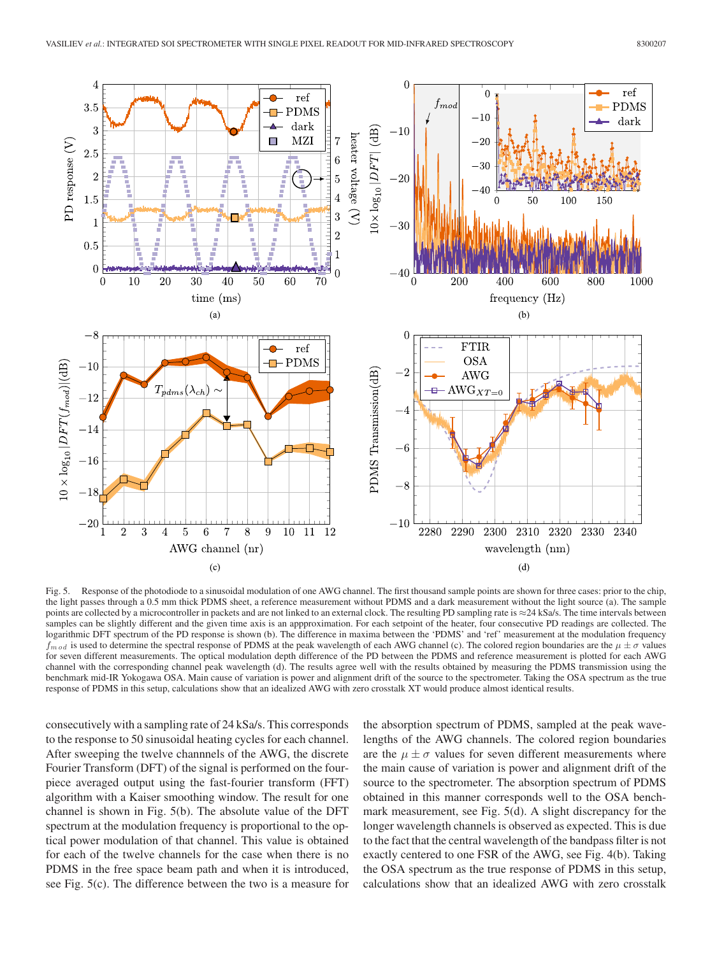

Fig. 5. Response of the photodiode to a sinusoidal modulation of one AWG channel. The first thousand sample points are shown for three cases: prior to the chip, the light passes through a 0.5 mm thick PDMS sheet, a reference measurement without PDMS and a dark measurement without the light source (a). The sample points are collected by a microcontroller in packets and are not linked to an external clock. The resulting PD sampling rate is  $\approx$  24 kSa/s. The time intervals between samples can be slightly different and the given time axis is an appproximation. For each setpoint of the heater, four consecutive PD readings are collected. The logarithmic DFT spectrum of the PD response is shown (b). The difference in maxima between the 'PDMS' and 'ref' measurement at the modulation frequency  $f_{mod}$  is used to determine the spectral response of PDMS at the peak wavelength of each AWG channel (c). The colored region boundaries are the  $\mu \pm \sigma$  values for seven different measurements. The optical modulation depth difference of the PD between the PDMS and reference measurement is plotted for each AWG channel with the corresponding channel peak wavelength (d). The results agree well with the results obtained by measuring the PDMS transmission using the benchmark mid-IR Yokogawa OSA. Main cause of variation is power and alignment drift of the source to the spectrometer. Taking the OSA spectrum as the true response of PDMS in this setup, calculations show that an idealized AWG with zero crosstalk XT would produce almost identical results.

consecutively with a sampling rate of 24 kSa/s. This corresponds to the response to 50 sinusoidal heating cycles for each channel. After sweeping the twelve channnels of the AWG, the discrete Fourier Transform (DFT) of the signal is performed on the fourpiece averaged output using the fast-fourier transform (FFT) algorithm with a Kaiser smoothing window. The result for one channel is shown in Fig. 5(b). The absolute value of the DFT spectrum at the modulation frequency is proportional to the optical power modulation of that channel. This value is obtained for each of the twelve channels for the case when there is no PDMS in the free space beam path and when it is introduced, see Fig. 5(c). The difference between the two is a measure for

the absorption spectrum of PDMS, sampled at the peak wavelengths of the AWG channels. The colored region boundaries are the  $\mu \pm \sigma$  values for seven different measurements where the main cause of variation is power and alignment drift of the source to the spectrometer. The absorption spectrum of PDMS obtained in this manner corresponds well to the OSA benchmark measurement, see Fig. 5(d). A slight discrepancy for the longer wavelength channels is observed as expected. This is due to the fact that the central wavelength of the bandpass filter is not exactly centered to one FSR of the AWG, see Fig. 4(b). Taking the OSA spectrum as the true response of PDMS in this setup, calculations show that an idealized AWG with zero crosstalk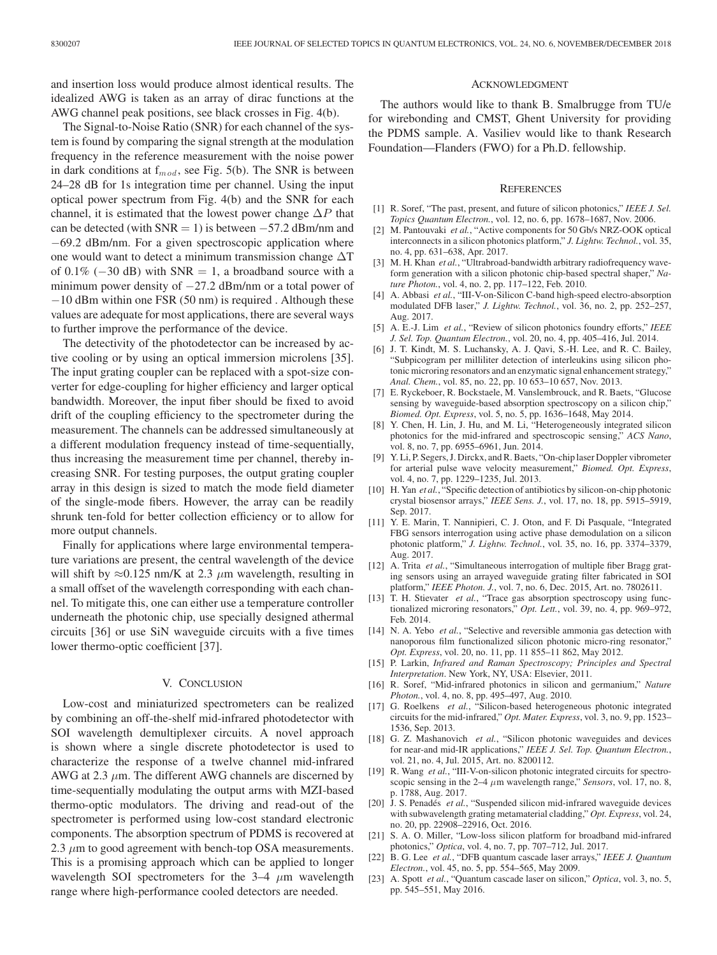and insertion loss would produce almost identical results. The idealized AWG is taken as an array of dirac functions at the AWG channel peak positions, see black crosses in Fig. 4(b).

The Signal-to-Noise Ratio (SNR) for each channel of the system is found by comparing the signal strength at the modulation frequency in the reference measurement with the noise power in dark conditions at  $f_{mod}$ , see Fig. 5(b). The SNR is between 24–28 dB for 1s integration time per channel. Using the input optical power spectrum from Fig. 4(b) and the SNR for each channel, it is estimated that the lowest power change  $\Delta P$  that can be detected (with  $SNR = 1$ ) is between  $-57.2$  dBm/nm and −69.2 dBm/nm. For a given spectroscopic application where one would want to detect a minimum transmission change  $\Delta T$ of 0.1% ( $-30$  dB) with SNR = 1, a broadband source with a minimum power density of  $-27.2$  dBm/nm or a total power of −10 dBm within one FSR (50 nm) is required . Although these values are adequate for most applications, there are several ways to further improve the performance of the device.

The detectivity of the photodetector can be increased by active cooling or by using an optical immersion microlens [35]. The input grating coupler can be replaced with a spot-size converter for edge-coupling for higher efficiency and larger optical bandwidth. Moreover, the input fiber should be fixed to avoid drift of the coupling efficiency to the spectrometer during the measurement. The channels can be addressed simultaneously at a different modulation frequency instead of time-sequentially, thus increasing the measurement time per channel, thereby increasing SNR. For testing purposes, the output grating coupler array in this design is sized to match the mode field diameter of the single-mode fibers. However, the array can be readily shrunk ten-fold for better collection efficiency or to allow for more output channels.

Finally for applications where large environmental temperature variations are present, the central wavelength of the device will shift by  $\approx 0.125$  nm/K at 2.3  $\mu$ m wavelength, resulting in a small offset of the wavelength corresponding with each channel. To mitigate this, one can either use a temperature controller underneath the photonic chip, use specially designed athermal circuits [36] or use SiN waveguide circuits with a five times lower thermo-optic coefficient [37].

## V. CONCLUSION

Low-cost and miniaturized spectrometers can be realized by combining an off-the-shelf mid-infrared photodetector with SOI wavelength demultiplexer circuits. A novel approach is shown where a single discrete photodetector is used to characterize the response of a twelve channel mid-infrared AWG at 2.3  $\mu$ m. The different AWG channels are discerned by time-sequentially modulating the output arms with MZI-based thermo-optic modulators. The driving and read-out of the spectrometer is performed using low-cost standard electronic components. The absorption spectrum of PDMS is recovered at 2.3  $\mu$ m to good agreement with bench-top OSA measurements. This is a promising approach which can be applied to longer wavelength SOI spectrometers for the  $3-4$   $\mu$ m wavelength range where high-performance cooled detectors are needed.

### ACKNOWLEDGMENT

The authors would like to thank B. Smalbrugge from TU/e for wirebonding and CMST, Ghent University for providing the PDMS sample. A. Vasiliev would like to thank Research Foundation—Flanders (FWO) for a Ph.D. fellowship.

#### **REFERENCES**

- [1] R. Soref, "The past, present, and future of silicon photonics," *IEEE J. Sel. Topics Quantum Electron.*, vol. 12, no. 6, pp. 1678–1687, Nov. 2006.
- [2] M. Pantouvaki *et al.*, "Active components for 50 Gb/s NRZ-OOK optical interconnects in a silicon photonics platform," *J. Lightw. Technol.*, vol. 35, no. 4, pp. 631–638, Apr. 2017.
- [3] M. H. Khan *et al.*, "Ultrabroad-bandwidth arbitrary radiofrequency waveform generation with a silicon photonic chip-based spectral shaper," *Nature Photon.*, vol. 4, no. 2, pp. 117–122, Feb. 2010.
- [4] A. Abbasi *et al.*, "III-V-on-Silicon C-band high-speed electro-absorption modulated DFB laser," *J. Lightw. Technol.*, vol. 36, no. 2, pp. 252–257, Aug. 2017.
- [5] A. E.-J. Lim *et al.*, "Review of silicon photonics foundry efforts," *IEEE J. Sel. Top. Quantum Electron.*, vol. 20, no. 4, pp. 405–416, Jul. 2014.
- [6] J. T. Kindt, M. S. Luchansky, A. J. Qavi, S.-H. Lee, and R. C. Bailey, "Subpicogram per milliliter detection of interleukins using silicon photonic microring resonators and an enzymatic signal enhancement strategy," *Anal. Chem.*, vol. 85, no. 22, pp. 10 653–10 657, Nov. 2013.
- [7] E. Ryckeboer, R. Bockstaele, M. Vanslembrouck, and R. Baets, "Glucose sensing by waveguide-based absorption spectroscopy on a silicon chip," *Biomed. Opt. Express*, vol. 5, no. 5, pp. 1636–1648, May 2014.
- [8] Y. Chen, H. Lin, J. Hu, and M. Li, "Heterogeneously integrated silicon photonics for the mid-infrared and spectroscopic sensing," *ACS Nano*, vol. 8, no. 7, pp. 6955–6961, Jun. 2014.
- [9] Y. Li, P. Segers, J. Dirckx, and R. Baets, "On-chip laser Doppler vibrometer for arterial pulse wave velocity measurement," *Biomed. Opt. Express*, vol. 4, no. 7, pp. 1229–1235, Jul. 2013.
- [10] H. Yan *et al.*, "Specific detection of antibiotics by silicon-on-chip photonic crystal biosensor arrays," *IEEE Sens. J.*, vol. 17, no. 18, pp. 5915–5919, Sep. 2017.
- [11] Y. E. Marin, T. Nannipieri, C. J. Oton, and F. Di Pasquale, "Integrated FBG sensors interrogation using active phase demodulation on a silicon photonic platform," *J. Lightw. Technol.*, vol. 35, no. 16, pp. 3374–3379, Aug. 2017.
- [12] A. Trita *et al.*, "Simultaneous interrogation of multiple fiber Bragg grating sensors using an arrayed waveguide grating filter fabricated in SOI platform," *IEEE Photon. J.*, vol. 7, no. 6, Dec. 2015, Art. no. 7802611.
- [13] T. H. Stievater *et al.*, "Trace gas absorption spectroscopy using functionalized microring resonators," *Opt. Lett.*, vol. 39, no. 4, pp. 969–972, Feb. 2014.
- [14] N. A. Yebo *et al.*, "Selective and reversible ammonia gas detection with nanoporous film functionalized silicon photonic micro-ring resonator," *Opt. Express*, vol. 20, no. 11, pp. 11 855–11 862, May 2012.
- [15] P. Larkin, *Infrared and Raman Spectroscopy; Principles and Spectral Interpretation*. New York, NY, USA: Elsevier, 2011.
- [16] R. Soref, "Mid-infrared photonics in silicon and germanium," *Nature Photon.*, vol. 4, no. 8, pp. 495–497, Aug. 2010.
- [17] G. Roelkens *et al.*, "Silicon-based heterogeneous photonic integrated circuits for the mid-infrared," *Opt. Mater. Express*, vol. 3, no. 9, pp. 1523– 1536, Sep. 2013.
- [18] G. Z. Mashanovich *et al.*, "Silicon photonic waveguides and devices for near-and mid-IR applications," *IEEE J. Sel. Top. Quantum Electron.*, vol. 21, no. 4, Jul. 2015, Art. no. 8200112.
- [19] R. Wang *et al.*, "III-V-on-silicon photonic integrated circuits for spectroscopic sensing in the 2–4 μm wavelength range," *Sensors*, vol. 17, no. 8, p. 1788, Aug. 2017.
- [20] J. S. Penadés et al., "Suspended silicon mid-infrared waveguide devices with subwavelength grating metamaterial cladding," *Opt. Express*, vol. 24, no. 20, pp. 22908–22916, Oct. 2016.
- [21] S. A. O. Miller, "Low-loss silicon platform for broadband mid-infrared photonics," *Optica*, vol. 4, no. 7, pp. 707–712, Jul. 2017.
- [22] B. G. Lee *et al.*, "DFB quantum cascade laser arrays," *IEEE J. Quantum Electron.*, vol. 45, no. 5, pp. 554–565, May 2009.
- [23] A. Spott *et al.*, "Quantum cascade laser on silicon," *Optica*, vol. 3, no. 5, pp. 545–551, May 2016.